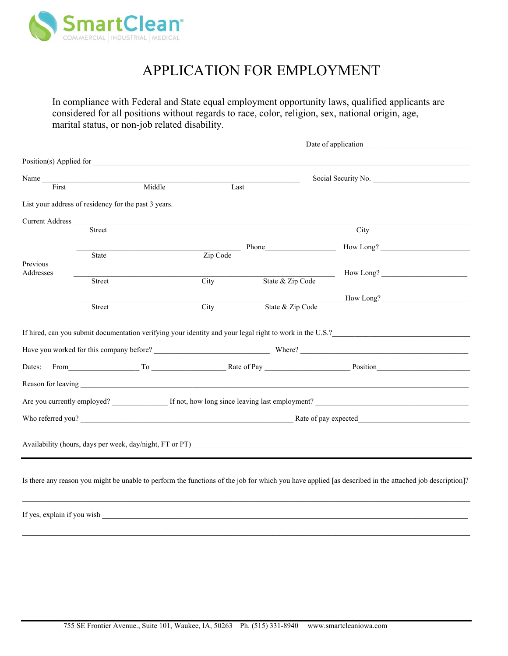

# APPLICATION FOR EMPLOYMENT

In compliance with Federal and State equal employment opportunity laws, qualified applicants are considered for all positions without regards to race, color, religion, sex, national origin, age, marital status, or non-job related disability.

|                        |                                                      |        |                         |                  | Date of application                                                                                                                                    |  |  |
|------------------------|------------------------------------------------------|--------|-------------------------|------------------|--------------------------------------------------------------------------------------------------------------------------------------------------------|--|--|
|                        |                                                      |        | Position(s) Applied for |                  |                                                                                                                                                        |  |  |
| Name                   |                                                      |        |                         |                  | Social Security No.                                                                                                                                    |  |  |
| First                  |                                                      | Middle | Last                    |                  |                                                                                                                                                        |  |  |
|                        | List your address of residency for the past 3 years. |        |                         |                  |                                                                                                                                                        |  |  |
| <b>Current Address</b> |                                                      |        |                         |                  |                                                                                                                                                        |  |  |
|                        | <b>Street</b>                                        |        |                         |                  | City                                                                                                                                                   |  |  |
|                        |                                                      |        |                         | <b>Phone</b>     | How Long?                                                                                                                                              |  |  |
| Previous               | <b>State</b>                                         |        | Zip Code                |                  |                                                                                                                                                        |  |  |
| Addresses              |                                                      |        |                         |                  | How Long?                                                                                                                                              |  |  |
|                        | <b>Street</b>                                        |        | City                    | State & Zip Code |                                                                                                                                                        |  |  |
|                        |                                                      |        |                         |                  | How Long?                                                                                                                                              |  |  |
|                        | Street                                               |        | City                    | State & Zip Code |                                                                                                                                                        |  |  |
| Dates:                 |                                                      |        |                         |                  | From To Rate of Pay Position Number of Pay Position<br>Are you currently employed? If not, how long since leaving last employment?                     |  |  |
|                        |                                                      |        |                         |                  |                                                                                                                                                        |  |  |
|                        |                                                      |        |                         |                  |                                                                                                                                                        |  |  |
|                        |                                                      |        |                         |                  | Availability (hours, days per week, day/night, FT or PT)                                                                                               |  |  |
|                        |                                                      |        |                         |                  | Is there any reason you might be unable to perform the functions of the job for which you have applied [as described in the attached job description]? |  |  |
|                        |                                                      |        |                         |                  |                                                                                                                                                        |  |  |